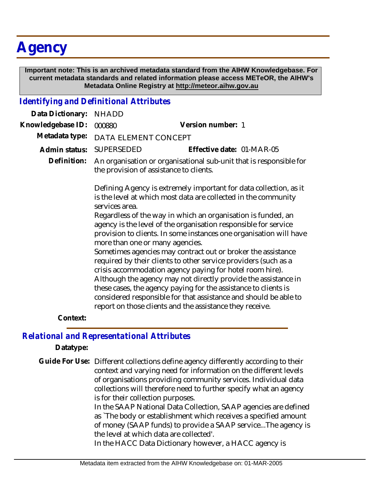## **Agency**

 **Important note: This is an archived metadata standard from the AIHW Knowledgebase. For current metadata standards and related information please access METeOR, the AIHW's Metadata Online Registry at http://meteor.aihw.gov.au**

## *Identifying and Definitional Attributes*

| Data Dictionary:  | <b>NHADD</b>                                                                                                                                                                                                                                                                                                                                                                                      |                                                                                                                                                                                                                                                                                                                                  |
|-------------------|---------------------------------------------------------------------------------------------------------------------------------------------------------------------------------------------------------------------------------------------------------------------------------------------------------------------------------------------------------------------------------------------------|----------------------------------------------------------------------------------------------------------------------------------------------------------------------------------------------------------------------------------------------------------------------------------------------------------------------------------|
| Knowledgebase ID: | 000880                                                                                                                                                                                                                                                                                                                                                                                            | Version number: 1                                                                                                                                                                                                                                                                                                                |
| Metadata type:    | DATA ELEMENT CONCEPT                                                                                                                                                                                                                                                                                                                                                                              |                                                                                                                                                                                                                                                                                                                                  |
| Admin status:     | <b>SUPERSEDED</b>                                                                                                                                                                                                                                                                                                                                                                                 | Effective date: 01-MAR-05                                                                                                                                                                                                                                                                                                        |
| Definition:       | An organisation or organisational sub-unit that is responsible for<br>the provision of assistance to clients.                                                                                                                                                                                                                                                                                     |                                                                                                                                                                                                                                                                                                                                  |
|                   | Defining Agency is extremely important for data collection, as it<br>is the level at which most data are collected in the community<br>services area.<br>Regardless of the way in which an organisation is funded, an<br>agency is the level of the organisation responsible for service<br>provision to clients. In some instances one organisation will have<br>more than one or many agencies. |                                                                                                                                                                                                                                                                                                                                  |
|                   |                                                                                                                                                                                                                                                                                                                                                                                                   | Sometimes agencies may contract out or broker the assistance<br>required by their clients to other service providers (such as a<br>crisis accommodation agency paying for hotel room hire).<br>Although the agency may not directly provide the assistance in<br>these cases, the agency paying for the assistance to clients is |
|                   |                                                                                                                                                                                                                                                                                                                                                                                                   | considered responsible for that assistance and should be able to<br>report on those clients and the assistance they receive.                                                                                                                                                                                                     |
| Context:          |                                                                                                                                                                                                                                                                                                                                                                                                   |                                                                                                                                                                                                                                                                                                                                  |

## *Relational and Representational Attributes*

**Datatype:**

Guide For Use: Different collections define agency differently according to their context and varying need for information on the different levels of organisations providing community services. Individual data collections will therefore need to further specify what an agency is for their collection purposes.

> In the SAAP National Data Collection, SAAP agencies are defined as `The body or establishment which receives a specified amount of money (SAAP funds) to provide a SAAP service...The agency is the level at which data are collected'.

In the HACC Data Dictionary however, a HACC agency is